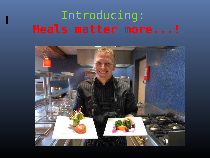### Introducing: **Meals matter more...!**

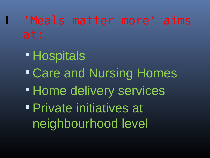# 'Meals matter more' aims

**- Hospitals**  Care and Nursing Homes **- Home delivery services Private initiatives at** neighbourhood level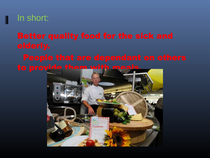

to provide them with meals.

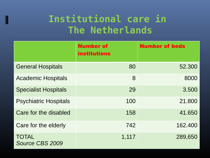### **Institutional care in The Netherlands**

║

|                                 | <b>Number of</b><br><b>institutions</b> | <b>Number of beds</b> |
|---------------------------------|-----------------------------------------|-----------------------|
| <b>General Hospitals</b>        | 80                                      | 52.300                |
| <b>Academic Hospitals</b>       | 8                                       | 8000                  |
| <b>Specialist Hospitals</b>     | 29                                      | 3.500                 |
| <b>Psychiatric Hospitals</b>    | 100                                     | 21.800                |
| Care for the disabled           | 158                                     | 41.650                |
| Care for the elderly            | 742                                     | 162,400               |
| <b>TOTAL</b><br>Source CBS 2009 | 1,117                                   | 289,650               |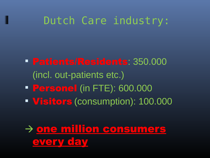### Dutch Care industry:

- Patients/Residents: 350.000 (incl. out-patients etc.)
- Personel (in FTE): 600.000
- Visitors (consumption): 100.000

 one million consumers every day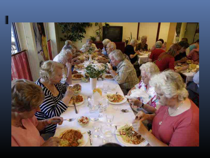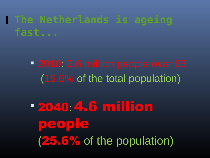### **The Netherlands is ageing fast...**

 2010: 2.6 million people over 65 (15.6% of the total population)

 2040:4.6 million people (25.6% of the population)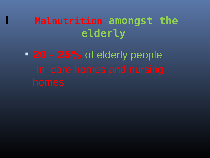**20 - 25% of elderly people**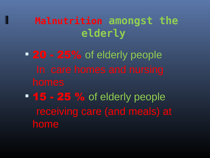**20 - 25% of elderly people** 15 - 25 % of elderly people receiving care (and meals) at home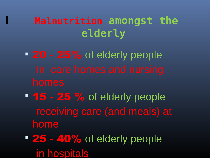- **20 25% of elderly people**
- $-15 25$  % of elderly people receiving care (and meals) at home
- **25 40% of elderly people** in hospitals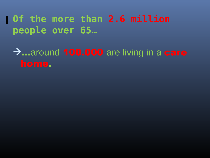$\rightarrow$  ...around 100.000 are living in a care home.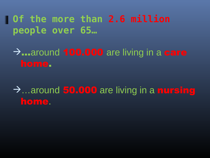$\rightarrow$  ...around 100.000 are living in a care home.

 $\rightarrow$  ... around 50.000 are living in a nursing home.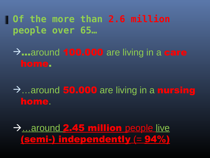$\rightarrow$  ...around 100.000 are living in a care home.

 $\rightarrow$  ... around 50.000 are living in a nursing home.

→ ... around 2.45 million people live (semi-) independently (= 94%)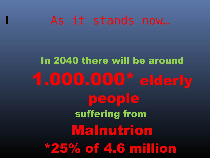### As it stands now…

## In 2040 there will be around people suffering from Malnutrion \*25% of 4.6 million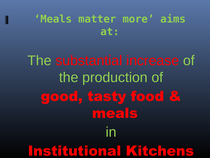### **'Meals matter more' aims at:**

### The substantial increase of the production of good, tasty food & meals in

### stitutional Kitchen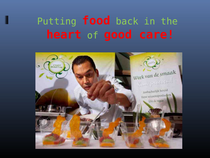### Putting **food** back in the **heart** of **good care!**

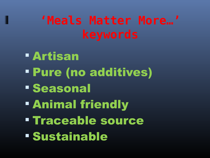# **'Meals Matter More…'**

 Artisan Pure (no additives) Seasonal Animal friendly Traceable source Sustainable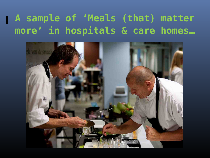#### **A sample of 'Meals (that) matter more' in hospitals & care homes…**

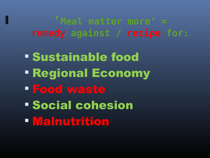### **'Meal matter more' = remedy against / recipe for:**

- Sustainable food
- Regional Economy
- Food waste
- **Social cohesion**
- Malnutrition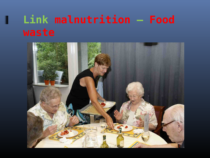### **Link malnutrition – Food**

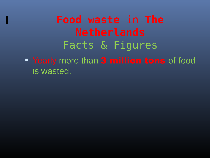Yearly more than 3 million tons of food is wasted.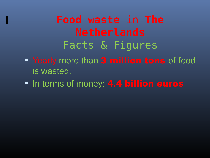- Yearly more than 3 million tons of food is wasted.
- In terms of money: 4.4 billion euros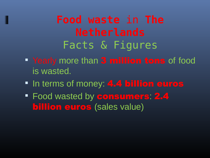- Yearly more than 3 million tons of food is wasted.
- In terms of money: 4.4 billion euros
- **Food wasted by consumers: 2.4 billion euros** (sales value)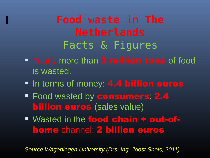- Yearly more than 3 million tons of food is wasted.
- In terms of money: 4.4 billion euros
- Food wasted by consumers: 2.4 **billion euros** (sales value)
- **Wasted in the food chain + out-of**home channel: 2 billion euros

*Source Wageningen University (Drs. Ing. Joost Snels, 2011)*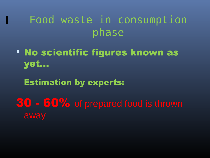### Food waste in consumption phase

- **No scientific figures known as** yet…
	- Estimation by experts:

∭

30 - 60% of prepared food is thrown away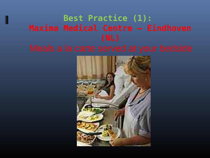### **Best Practice (1): Maxima Medical Centre – Eindhoven**

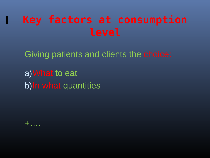Giving patients and clients the choice:

a)What to eat b) In what quantities

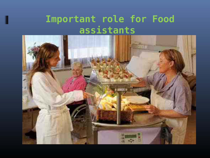### **Important role for Food assistants**

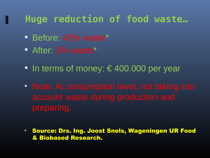#### **Huge reduction of food waste…**

- Before: 42% waste\*
- After: 2% waste\*
- In terms of money:  $\epsilon$  400.000 per year
- Note: At consumption level, not taking into preparing.
- Source: Drs. Ing. Joost Snels, Wageningen UR Food & Biobased Research.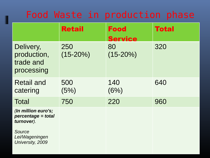### Food Waste in production phase

|                                                                                                                | <b>Retail</b>        | <b>Food</b><br><b>Service</b> | <b>Total</b> |
|----------------------------------------------------------------------------------------------------------------|----------------------|-------------------------------|--------------|
| Delivery,<br>production,<br>trade and<br>processing                                                            | 250<br>$(15 - 20\%)$ | 80<br>$(15 - 20\%)$           | 320          |
| <b>Retail and</b><br>catering                                                                                  | 500<br>(5%)          | 140<br>(6%)                   | 640          |
| <b>Total</b>                                                                                                   | 750                  | 220                           | 960          |
| (In million euro's;<br>percentage = total<br>turnover).<br><b>Source</b><br>Lei/Wageningen<br>University, 2009 |                      |                               |              |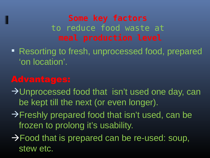### **Some key factors**  to reduce food waste at

**- Resorting to fresh, unprocessed food, prepared** 'on location'.

- → Unprocessed food that isn't used one day, can be kept till the next (or even longer).
- $\rightarrow$  Freshly prepared food that isn't used, can be frozen to prolong it's usability.
- $\rightarrow$  Food that is prepared can be re-used: soup, stew etc.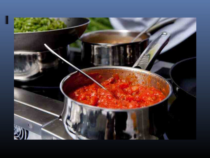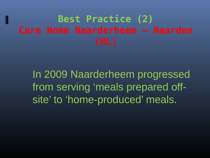### **Best Practice (2) Care Home Naarderheem – Naarden**

In 2009 Naarderheem progressed from serving 'meals prepared offsite' to 'home-produced' meals.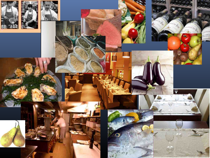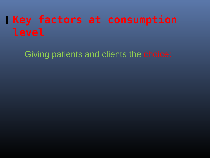Giving patients and clients the choice: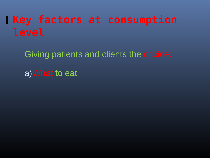Giving patients and clients the choice:

a)What to eat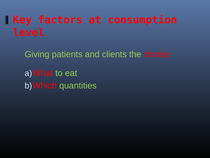Giving patients and clients the choice:

a)What to eat b)Which quantities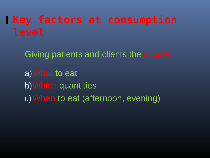Giving patients and clients the choice: a)What to eat b)Which quantities c)When to eat (afternoon, evening)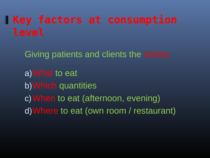Giving patients and clients the choice: a)What to eat b)Which quantities c)When to eat (afternoon, evening) d)Where to eat (own room / restaurant)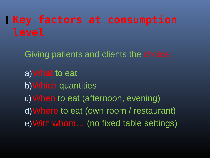Giving patients and clients the choice: a)What to eat b)Which quantities c)When to eat (afternoon, evening) d)Where to eat (own room / restaurant) e)With whom… (no fixed table settings)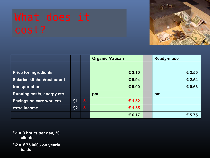

|                                    |                                                                                                                                                        |        | <b>Organic /Artisan</b> | <b>Ready-made</b> |
|------------------------------------|--------------------------------------------------------------------------------------------------------------------------------------------------------|--------|-------------------------|-------------------|
|                                    |                                                                                                                                                        |        |                         |                   |
| <b>Price for ingredients</b>       |                                                                                                                                                        |        | € 3.10                  | € 2.55            |
| <b>Salaries kitchen/restaurant</b> |                                                                                                                                                        |        | € 5.94                  | € 2.54            |
| transportation                     |                                                                                                                                                        |        | $\epsilon$ 0.00         | € 0.66            |
| Running costs, energy etc.         |                                                                                                                                                        |        | pm                      | pm                |
| <b>Savings on care workers</b>     | $*)1$                                                                                                                                                  | $-I -$ | € 1.32                  |                   |
| extra income                       | $\overline{\hspace{-.1cm}^{\ast }\hspace{-.1cm} }$ $\hspace{-.1cm}^{\ast }$ $\hspace{-.1cm}^{\ast }$ $\hspace{-.1cm}^{\ast }$ $\hspace{-.1cm}^{\ast }$ | $-I -$ | € 1.55                  |                   |
|                                    |                                                                                                                                                        |        | € 6.17                  | € 5.75            |

- **\*)1 = 3 hours per day, 30 clients**
- **\*)2 = € 75.000,- on yearly basis**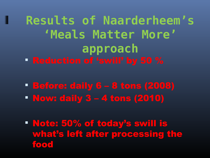**Results of Naarderheem's 'Meals Matter More' approach** Reduction of 'swill' by 50 %

║║

 Before: daily 6 – 8 tons (2008) Now: daily 3 – 4 tons (2010)

 Note: 50% of today's swill is what's left after processing the food